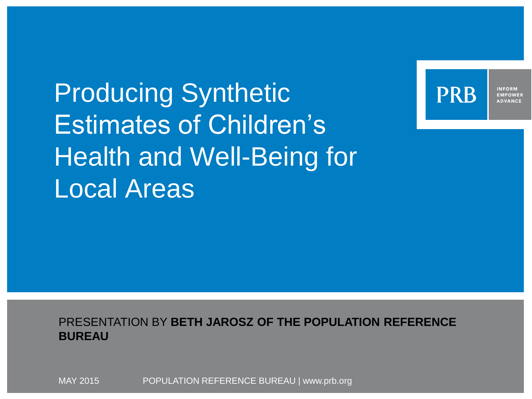Producing Synthetic Estimates of Children's Health and Well-Being for Local Areas



**INFORM EMPOWER ADVANCE** 

PRESENTATION BY **BETH JAROSZ OF THE POPULATION REFERENCE BUREAU**

POPULATION REFERENCE BUREAU | www.prb.org MAY 2015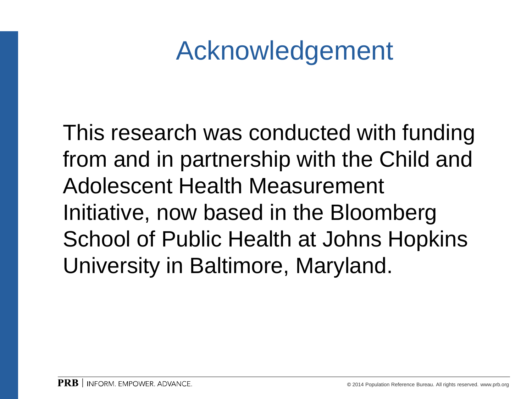### Acknowledgement

This research was conducted with funding from and in partnership with the Child and Adolescent Health Measurement Initiative, now based in the Bloomberg School of Public Health at Johns Hopkins University in Baltimore, Maryland.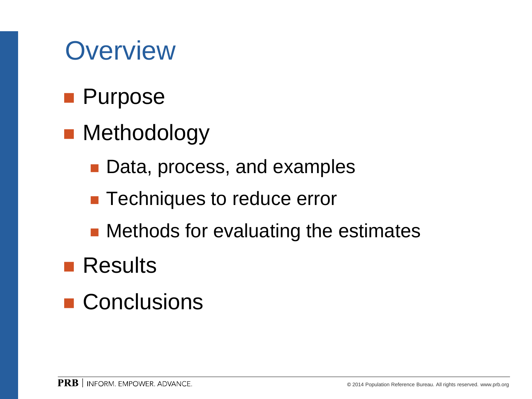#### **Overview**

- **Purpose**
- **Methodology** 
	- Data, process, and examples
	- **Techniques to reduce error**
	- Methods for evaluating the estimates
- **Results**
- **Conclusions**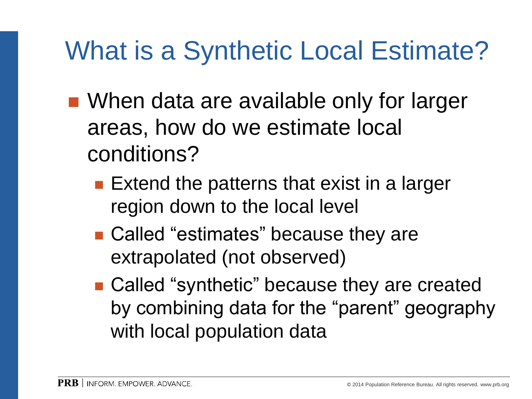### What is a Synthetic Local Estimate?

- When data are available only for larger areas, how do we estimate local conditions?
	- $\blacksquare$  Extend the patterns that exist in a larger region down to the local level
	- Called "estimates" because they are extrapolated (not observed)
	- Called "synthetic" because they are created by combining data for the "parent" geography with local population data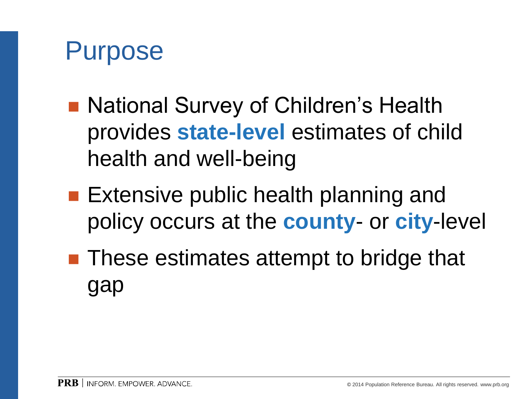

- National Survey of Children's Health provides **state-level** estimates of child health and well-being
- Extensive public health planning and policy occurs at the **county**- or **city**-level
- These estimates attempt to bridge that gap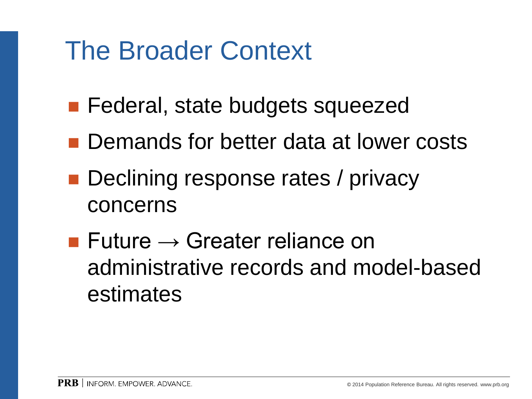#### The Broader Context

- **Federal, state budgets squeezed**
- Demands for better data at lower costs
- **Declining response rates / privacy** concerns
- Future  $\rightarrow$  Greater reliance on administrative records and model-based estimates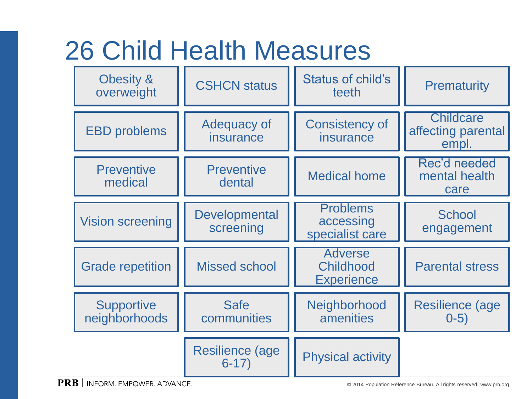#### 26 Child Health Measures

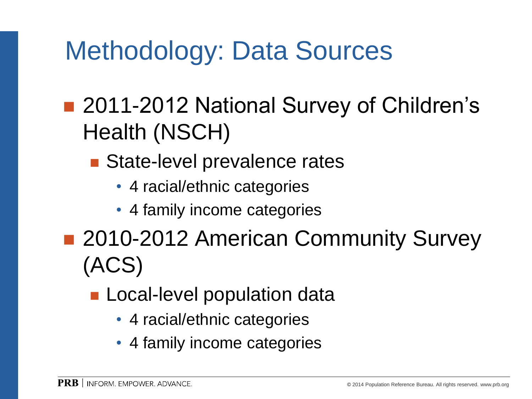#### Methodology: Data Sources

- 2011-2012 National Survey of Children's Health (NSCH)
	- State-level prevalence rates
		- 4 racial/ethnic categories
		- 4 family income categories
- 2010-2012 American Community Survey (ACS)
	- **Local-level population data** 
		- 4 racial/ethnic categories
		- 4 family income categories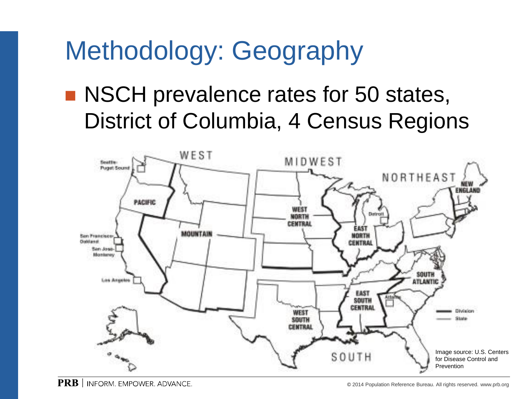### Methodology: Geography

#### ■ NSCH prevalence rates for 50 states, District of Columbia, 4 Census Regions

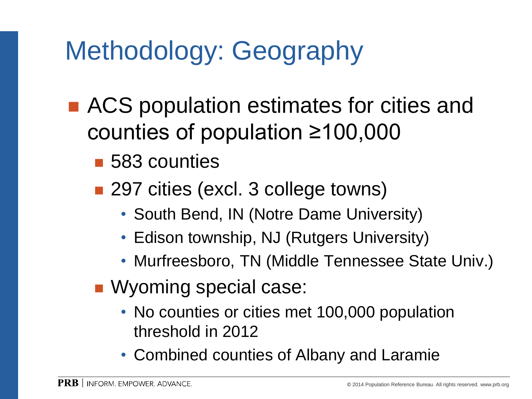# Methodology: Geography

- ACS population estimates for cities and counties of population ≥100,000
	- 583 counties
	- 297 cities (excl. 3 college towns)
		- South Bend, IN (Notre Dame University)
		- Edison township, NJ (Rutgers University)
		- Murfreesboro, TN (Middle Tennessee State Univ.)
	- Wyoming special case:
		- No counties or cities met 100,000 population threshold in 2012
		- Combined counties of Albany and Laramie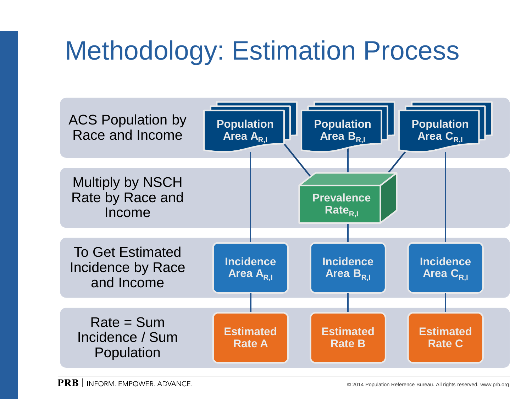## Methodology: Estimation Process

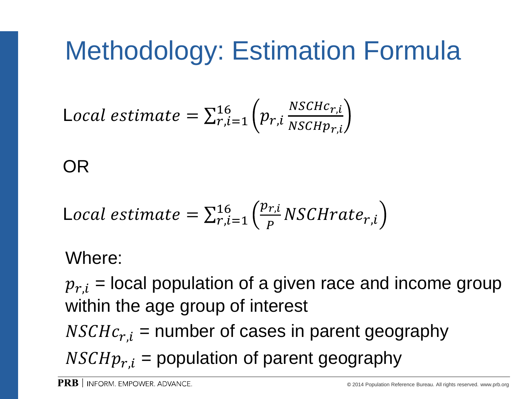## Methodology: Estimation Formula

$$
\text{Local estimate} = \sum_{r,i=1}^{16} \left( p_{r,i} \frac{NSCHc_{r,i}}{NSCHp_{r,i}} \right)
$$

OR

$$
\text{Local estimate} = \sum_{r,i=1}^{16} \left( \frac{p_{r,i}}{P} NSCHrate_{r,i} \right)
$$

#### Where:

 $p_{r,i}$  = local population of a given race and income group within the age group of interest

 $NSCHc_{r,i}$  = number of cases in parent geography

 $NSCHp_{r,i}$  = population of parent geography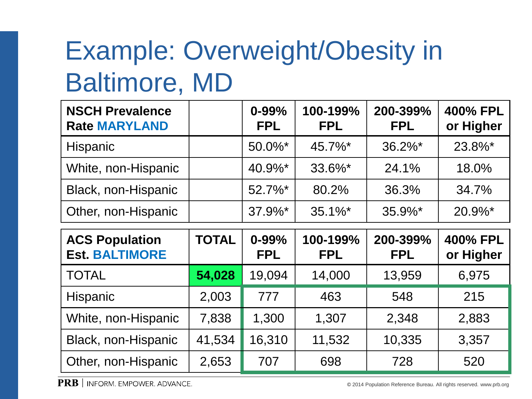# Example: Overweight/Obesity in Baltimore, MD

| <b>NSCH Prevalence</b><br><b>Rate MARYLAND</b> | $0 - 99%$<br><b>FPL</b> | 100-199%<br><b>FPL</b> | 200-399%<br><b>FPL</b> | 400% FPL<br>or Higher |
|------------------------------------------------|-------------------------|------------------------|------------------------|-----------------------|
| Hispanic                                       | 50.0%*                  | 45.7%*                 | $36.2\%$ <sup>*</sup>  | 23.8%*                |
| White, non-Hispanic                            | 40.9%*                  | 33.6%*                 | 24.1%                  | 18.0%                 |
| Black, non-Hispanic                            | $52.7\%$ *              | 80.2%                  | 36.3%                  | 34.7%                 |
| Other, non-Hispanic                            | $37.9\%$ *              | $35.1\%$ *             | $35.9\%$ *             | $20.9\%$ *            |

| <b>ACS Population</b><br><b>Est. BALTIMORE</b> | TOTAL  | $0 - 99%$<br><b>FPL</b> | 100-199%<br><b>FPL</b> | 200-399%<br><b>FPL</b> | 400% FPL<br>or Higher |
|------------------------------------------------|--------|-------------------------|------------------------|------------------------|-----------------------|
| <b>TOTAL</b>                                   | 54,028 | 19,094                  | 14,000                 | 13,959                 | 6,975                 |
| <b>Hispanic</b>                                | 2,003  | 777                     | 463                    | 548                    | 215                   |
| White, non-Hispanic                            | 7,838  | 1,300                   | 1,307                  | 2,348                  | 2,883                 |
| Black, non-Hispanic                            | 41,534 | 16,310                  | 11,532                 | 10,335                 | 3,357                 |
| Other, non-Hispanic                            | 2,653  | 707                     | 698                    | 728                    | 520                   |

**PRB** | INFORM. EMPOWER. ADVANCE.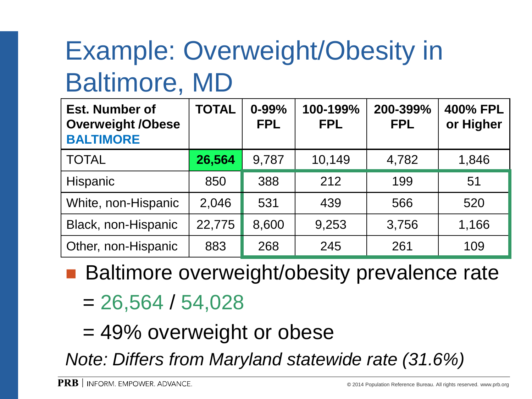# Example: Overweight/Obesity in Baltimore, MD

| <b>Est. Number of</b><br><b>Overweight /Obese</b><br><b>BALTIMORE</b> | <b>TOTAL</b> | $0 - 99%$<br><b>FPL</b> | 100-199%<br><b>FPL</b> | 200-399%<br><b>FPL</b> | 400% FPL<br>or Higher |
|-----------------------------------------------------------------------|--------------|-------------------------|------------------------|------------------------|-----------------------|
| <b>TOTAL</b>                                                          | 26,564       | 9,787                   | 10,149                 | 4,782                  | 1,846                 |
| Hispanic                                                              | 850          | 388                     | 212                    | 199                    | 51                    |
| White, non-Hispanic                                                   | 2,046        | 531                     | 439                    | 566                    | 520                   |
| Black, non-Hispanic                                                   | 22,775       | 8,600                   | 9,253                  | 3,756                  | 1,166                 |
| Other, non-Hispanic                                                   | 883          | 268                     | 245                    | 261                    | 109                   |

■ Baltimore overweight/obesity prevalence rate  $= 26,564 / 54,028$ 

= 49% overweight or obese

*Note: Differs from Maryland statewide rate (31.6%)*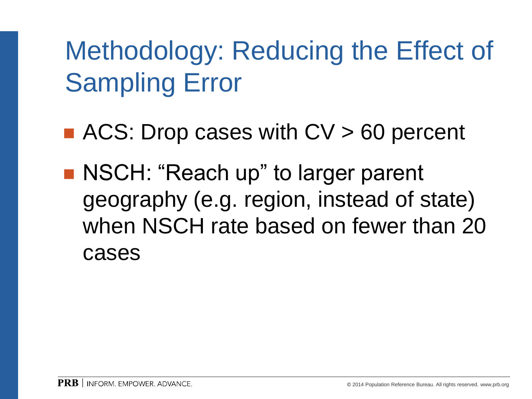# Methodology: Reducing the Effect of Sampling Error

- ACS: Drop cases with  $CV > 60$  percent
- NSCH: "Reach up" to larger parent geography (e.g. region, instead of state) when NSCH rate based on fewer than 20 cases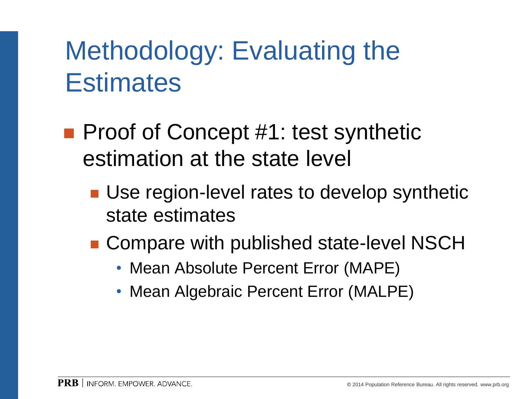### Methodology: Evaluating the **Estimates**

- Proof of Concept #1: test synthetic estimation at the state level
	- Use region-level rates to develop synthetic state estimates
	- Compare with published state-level NSCH
		- Mean Absolute Percent Error (MAPE)
		- Mean Algebraic Percent Error (MALPE)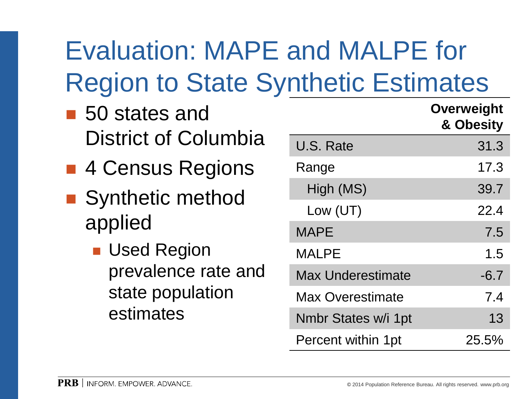# Evaluation: MAPE and MALPE for Region to State Synthetic Estimates

- 50 states and District of Columbia
- 4 Census Regions
- Synthetic method applied
	- **Used Region** prevalence rate and state population estimates

|                          | <b>Overweight</b><br>& Obesity |
|--------------------------|--------------------------------|
| U.S. Rate                | 31.3                           |
| Range                    | 17.3                           |
| High (MS)                | 39.7                           |
| Low $(UT)$               | 22.4                           |
| <b>MAPE</b>              | 7.5                            |
| <b>MALPE</b>             | 1.5                            |
| <b>Max Underestimate</b> | $-6.7$                         |
| <b>Max Overestimate</b>  | 7.4                            |
| Nmbr States w/i 1pt      | 13                             |
| Percent within 1pt       | 25.5%                          |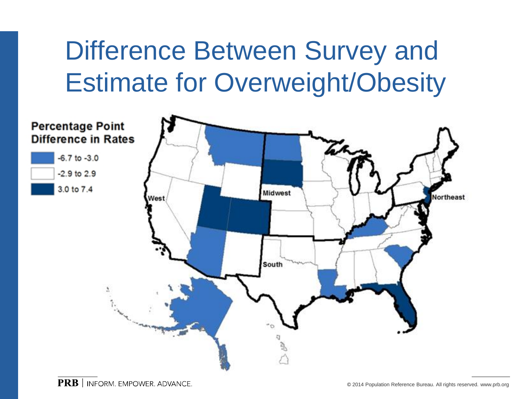### Difference Between Survey and Estimate for Overweight/Obesity

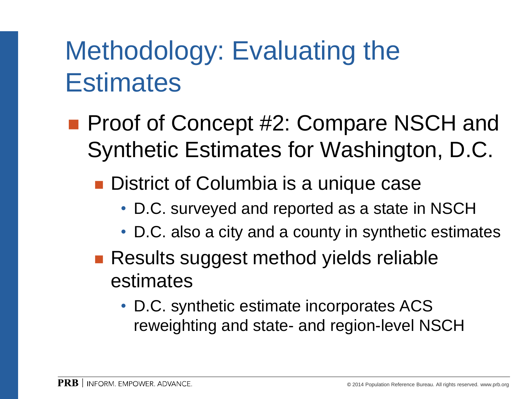### Methodology: Evaluating the **Estimates**

- **Proof of Concept #2: Compare NSCH and** Synthetic Estimates for Washington, D.C.
	- **District of Columbia is a unique case** 
		- D.C. surveyed and reported as a state in NSCH
		- D.C. also a city and a county in synthetic estimates
	- Results suggest method yields reliable estimates
		- D.C. synthetic estimate incorporates ACS reweighting and state- and region-level NSCH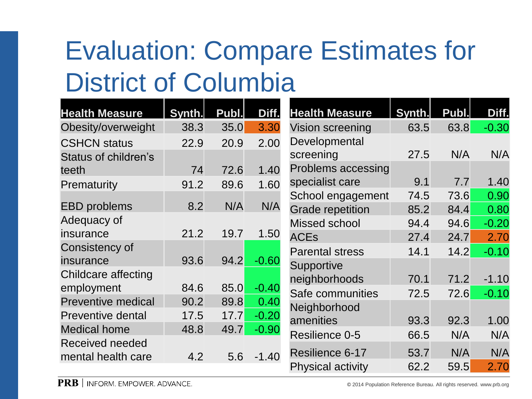# Evaluation: Compare Estimates for District of Columbia

| <b>Health Measure</b>       | Synth. | Publ. | Diff.   | <b>Health Measure</b>     | Synth. | Publ. | Diff.   |
|-----------------------------|--------|-------|---------|---------------------------|--------|-------|---------|
| Obesity/overweight          | 38.3   | 35.0  | 3.30    | Vision screening          | 63.5   | 63.8  | $-0.30$ |
| <b>CSHCN status</b>         | 22.9   | 20.9  | 2.00    | Developmental             |        |       |         |
| <b>Status of children's</b> |        |       |         | screening                 | 27.5   | N/A   | N/A     |
| teeth                       | 74     | 72.6  | 1.40    | <b>Problems accessing</b> |        |       |         |
| Prematurity                 | 91.2   | 89.6  | 1.60    | specialist care           | 9.1    | 7.7   | 1.40    |
|                             |        |       |         | School engagement         | 74.5   | 73.6  | 0.90    |
| <b>EBD</b> problems         | 8.2    | N/A   | N/A     | <b>Grade repetition</b>   | 85.2   | 84.4  | 0.80    |
| Adequacy of                 |        |       |         | Missed school             | 94.4   | 94.6  | $-0.20$ |
| insurance                   | 21.2   | 19.7  | 1.50    | <b>ACEs</b>               | 27.4   | 24.7  | 2.70    |
| Consistency of              |        |       |         | <b>Parental stress</b>    | 14.1   | 14.2  | $-0.10$ |
| insurance                   | 93.6   | 94.2  | $-0.60$ | Supportive                |        |       |         |
| Childcare affecting         |        |       |         | neighborhoods             | 70.1   | 71.2  | $-1.10$ |
| employment                  | 84.6   | 85.0  | $-0.40$ | Safe communities          | 72.5   | 72.6  | $-0.10$ |
| <b>Preventive medical</b>   | 90.2   | 89.8  | 0.40    | Neighborhood              |        |       |         |
| <b>Preventive dental</b>    | 17.5   | 17.7  | $-0.20$ | amenities                 | 93.3   | 92.3  | 1.00    |
| <b>Medical home</b>         | 48.8   | 49.7  | $-0.90$ | Resilience 0-5            | 66.5   | N/A   | N/A     |
| Received needed             |        |       |         |                           |        |       |         |
| mental health care          | 4.2    | 5.6   | $-1.40$ | Resilience 6-17           | 53.7   | N/A   | N/A     |
|                             |        |       |         | <b>Physical activity</b>  | 62.2   | 59.5  | 2.70    |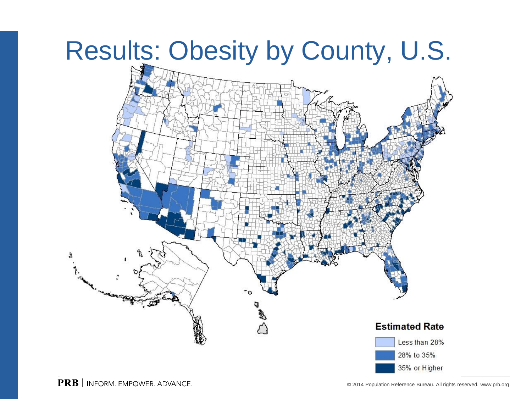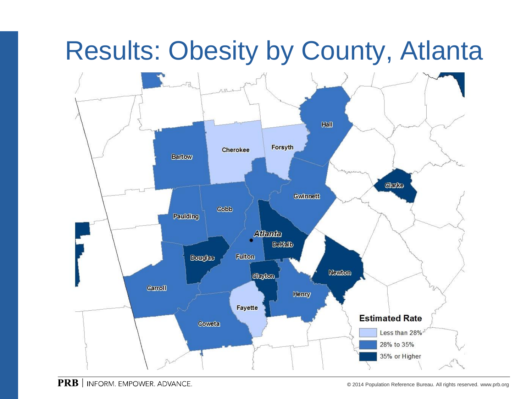#### Results: Obesity by County, Atlanta

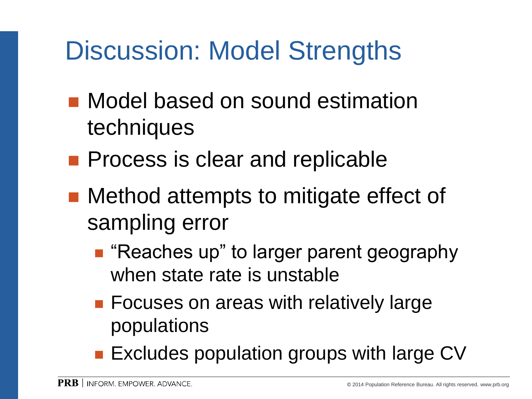### Discussion: Model Strengths

- **Nodel based on sound estimation** techniques
- **Process is clear and replicable**
- Method attempts to mitigate effect of sampling error
	- "Reaches up" to larger parent geography when state rate is unstable
	- **Focuses on areas with relatively large** populations
	- **Excludes population groups with large CV**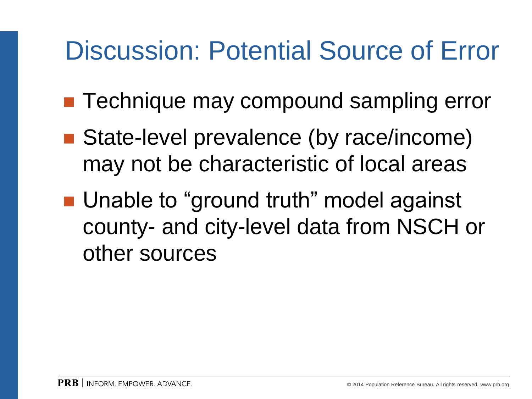#### Discussion: Potential Source of Error

- Technique may compound sampling error
- State-level prevalence (by race/income) may not be characteristic of local areas
- Unable to "ground truth" model against county- and city-level data from NSCH or other sources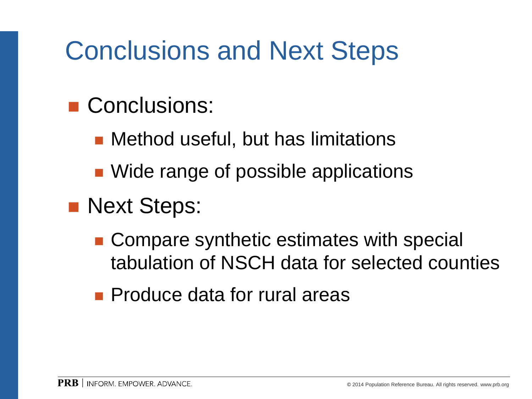### Conclusions and Next Steps

#### Conclusions:

- Method useful, but has limitations
- Wide range of possible applications

#### **Next Steps:**

- Compare synthetic estimates with special tabulation of NSCH data for selected counties
- **Produce data for rural areas**